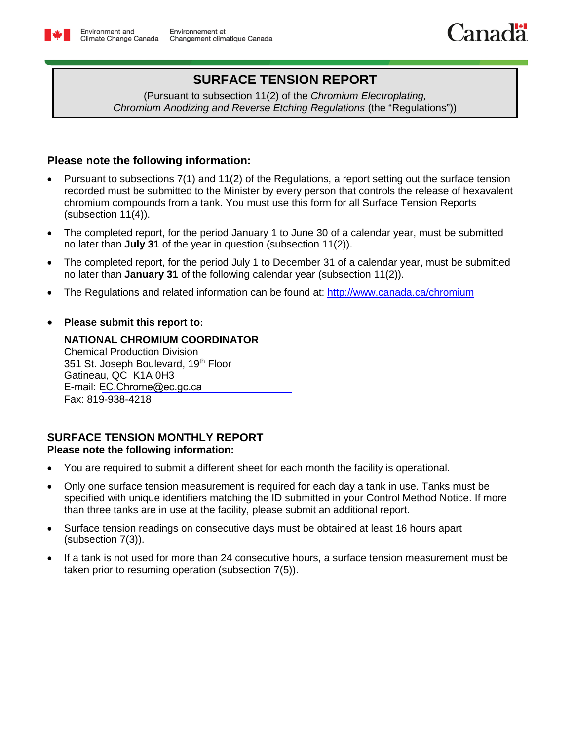# **SURFACE TENSION REPORT**

(Pursuant to subsection 11(2) of the *Chromium Electroplating, Chromium Anodizing and Reverse Etching Regulations* (the "Regulations"))

# **Please note the following information:**

- Pursuant to subsections 7(1) and 11(2) of the Regulations, a report setting out the surface tension recorded must be submitted to the Minister by every person that controls the release of hexavalent chromium compounds from a tank. You must use this form for all Surface Tension Reports (subsection 11(4)).
- The completed report, for the period January 1 to June 30 of a calendar year, must be submitted no later than **July 31** of the year in question (subsection 11(2)).
- The completed report, for the period July 1 to December 31 of a calendar year, must be submitted no later than **January 31** of the following calendar year (subsection 11(2)).
- The Regulations and related information can be found at: <http://www.canada.ca/chromium>
- **Please submit this report to:**

**NATIONAL CHROMIUM COORDINATOR** Chemical Production Division 351 St. Joseph Boulevard, 19<sup>th</sup> Floor Gatineau, QC K1A 0H3 E-mail: [EC.Chrome@ec.gc.ca](mailto:EC.Chrome-Chromium.EC@Canada.ca) Fax: 819-938-4218

## **SURFACE TENSION MONTHLY REPORT Please note the following information:**

- You are required to submit a different sheet for each month the facility is operational.
- Only one surface tension measurement is required for each day a tank in use. Tanks must be specified with unique identifiers matching the ID submitted in your Control Method Notice. If more than three tanks are in use at the facility, please submit an additional report.
- Surface tension readings on consecutive days must be obtained at least 16 hours apart (subsection 7(3)).
- If a tank is not used for more than 24 consecutive hours, a surface tension measurement must be taken prior to resuming operation (subsection 7(5)).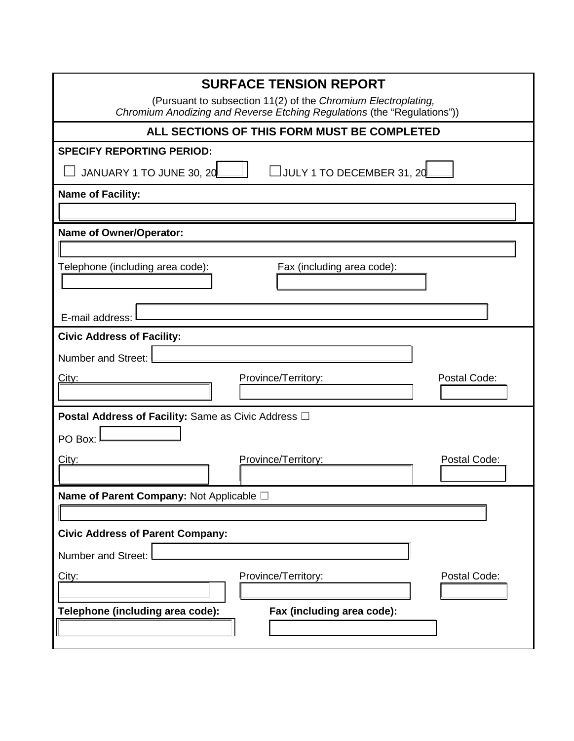| <b>SURFACE TENSION REPORT</b>                                                                                                            |  |  |  |  |  |  |  |  |
|------------------------------------------------------------------------------------------------------------------------------------------|--|--|--|--|--|--|--|--|
| (Pursuant to subsection 11(2) of the Chromium Electroplating,<br>Chromium Anodizing and Reverse Etching Regulations (the "Regulations")) |  |  |  |  |  |  |  |  |
| ALL SECTIONS OF THIS FORM MUST BE COMPLETED                                                                                              |  |  |  |  |  |  |  |  |
| <b>SPECIFY REPORTING PERIOD:</b>                                                                                                         |  |  |  |  |  |  |  |  |
| $\Box$ JULY 1 TO DECEMBER 31, 20<br>JANUARY 1 TO JUNE 30, 20                                                                             |  |  |  |  |  |  |  |  |
| <b>Name of Facility:</b>                                                                                                                 |  |  |  |  |  |  |  |  |
|                                                                                                                                          |  |  |  |  |  |  |  |  |
| <b>Name of Owner/Operator:</b>                                                                                                           |  |  |  |  |  |  |  |  |
|                                                                                                                                          |  |  |  |  |  |  |  |  |
| Telephone (including area code):<br>Fax (including area code):                                                                           |  |  |  |  |  |  |  |  |
|                                                                                                                                          |  |  |  |  |  |  |  |  |
| E-mail address:                                                                                                                          |  |  |  |  |  |  |  |  |
| <b>Civic Address of Facility:</b>                                                                                                        |  |  |  |  |  |  |  |  |
| Number and Street:                                                                                                                       |  |  |  |  |  |  |  |  |
| Postal Code:<br>Province/Territory:<br><u>City:</u>                                                                                      |  |  |  |  |  |  |  |  |
|                                                                                                                                          |  |  |  |  |  |  |  |  |
| <b>Postal Address of Facility: Same as Civic Address OI</b>                                                                              |  |  |  |  |  |  |  |  |
| PO Box:                                                                                                                                  |  |  |  |  |  |  |  |  |
| Province/Territory:<br>Postal Code:<br>City:                                                                                             |  |  |  |  |  |  |  |  |
|                                                                                                                                          |  |  |  |  |  |  |  |  |
| Name of Parent Company: Not Applicable $\square$                                                                                         |  |  |  |  |  |  |  |  |
|                                                                                                                                          |  |  |  |  |  |  |  |  |
| <b>Civic Address of Parent Company:</b>                                                                                                  |  |  |  |  |  |  |  |  |
| Number and Street:                                                                                                                       |  |  |  |  |  |  |  |  |
| Province/Territory:<br>Postal Code:<br>City:                                                                                             |  |  |  |  |  |  |  |  |
|                                                                                                                                          |  |  |  |  |  |  |  |  |
| Fax (including area code):<br>Telephone (including area code):                                                                           |  |  |  |  |  |  |  |  |
|                                                                                                                                          |  |  |  |  |  |  |  |  |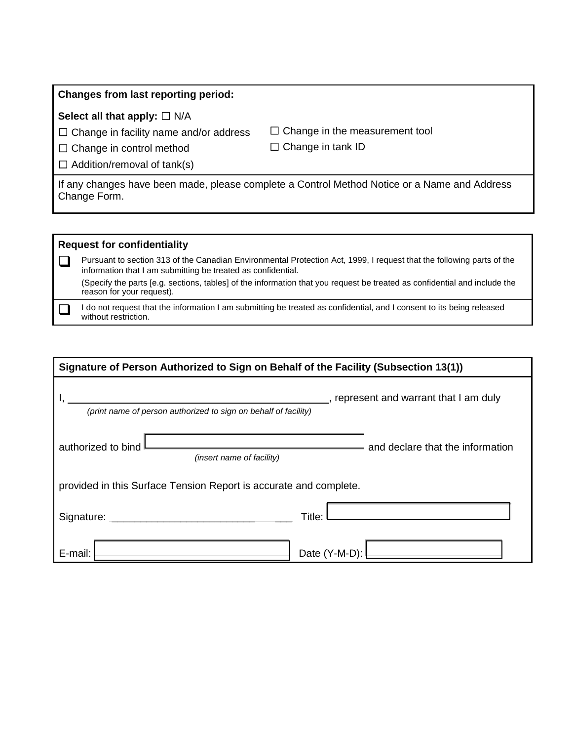#### **Changes from last reporting period:**

### Select all that apply: □ N/A

☐ Change in facility name and/or address

 $\Box$  Change in the measurement tool ☐ Change in tank ID

□ Change in control method  $\Box$  Addition/removal of tank(s)

If any changes have been made, please complete a Control Method Notice or a Name and Address Change Form.

# **Request for confidentiality**

Pursuant to section 313 of the Canadian Environmental Protection Act, 1999, I request that the following parts of the information that I am submitting be treated as confidential. (Specify the parts [e.g. sections, tables] of the information that you request be treated as confidential and include the reason for your request).

I do not request that the information I am submitting be treated as confidential, and I consent to its being released without restriction.

| Signature of Person Authorized to Sign on Behalf of the Facility (Subsection 13(1))                        |                                  |  |  |  |  |  |  |
|------------------------------------------------------------------------------------------------------------|----------------------------------|--|--|--|--|--|--|
| _, represent and warrant that I am duly<br>(print name of person authorized to sign on behalf of facility) |                                  |  |  |  |  |  |  |
| authorized to bind<br>(insert name of facility)                                                            | and declare that the information |  |  |  |  |  |  |
| provided in this Surface Tension Report is accurate and complete.                                          |                                  |  |  |  |  |  |  |
| Signature:                                                                                                 | Title:                           |  |  |  |  |  |  |
| E-mail:                                                                                                    | Date (Y-M-D):                    |  |  |  |  |  |  |